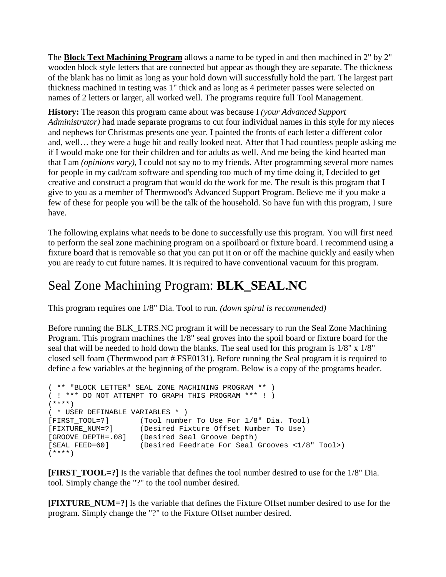The **Block Text Machining Program** allows a name to be typed in and then machined in 2" by 2" wooden block style letters that are connected but appear as though they are separate. The thickness of the blank has no limit as long as your hold down will successfully hold the part. The largest part thickness machined in testing was 1" thick and as long as 4 perimeter passes were selected on names of 2 letters or larger, all worked well. The programs require full Tool Management.

**History:** The reason this program came about was because I *(your Advanced Support Administrator)* had made separate programs to cut four individual names in this style for my nieces and nephews for Christmas presents one year. I painted the fronts of each letter a different color and, well… they were a huge hit and really looked neat. After that I had countless people asking me if I would make one for their children and for adults as well. And me being the kind hearted man that I am *(opinions vary)*, I could not say no to my friends. After programming several more names for people in my cad/cam software and spending too much of my time doing it, I decided to get creative and construct a program that would do the work for me. The result is this program that I give to you as a member of Thermwood's Advanced Support Program. Believe me if you make a few of these for people you will be the talk of the household. So have fun with this program, I sure have.

The following explains what needs to be done to successfully use this program. You will first need to perform the seal zone machining program on a spoilboard or fixture board. I recommend using a fixture board that is removable so that you can put it on or off the machine quickly and easily when you are ready to cut future names. It is required to have conventional vacuum for this program.

## Seal Zone Machining Program: **BLK\_SEAL.NC**

This program requires one 1/8" Dia. Tool to run. *(down spiral is recommended)*

Before running the BLK\_LTRS.NC program it will be necessary to run the Seal Zone Machining Program. This program machines the 1/8" seal groves into the spoil board or fixture board for the seal that will be needed to hold down the blanks. The seal used for this program is 1/8" x 1/8" closed sell foam (Thermwood part # FSE0131). Before running the Seal program it is required to define a few variables at the beginning of the program. Below is a copy of the programs header.

```
( ** "BLOCK LETTER" SEAL ZONE MACHINING PROGRAM ** )
( ! *** DO NOT ATTEMPT TO GRAPH THIS PROGRAM *** ! )
(****)
( * USER DEFINABLE VARIABLES * )
[FIRST_TOOL=?] (Tool number To Use For 1/8" Dia. Tool)
[FIXTURE_NUM=?] (Desired Fixture Offset Number To Use)
[GROOVE_DEPTH=.08] (Desired Seal Groove Depth)<br>[SEAL_FEED=60] (Desired Feedrate For Seal
                     (Desired Feedrate For Seal Grooves <1/8" Tool>)
(****)
```
**[FIRST\_TOOL=?]** Is the variable that defines the tool number desired to use for the 1/8" Dia. tool. Simply change the "?" to the tool number desired.

**[FIXTURE\_NUM=?]** Is the variable that defines the Fixture Offset number desired to use for the program. Simply change the "?" to the Fixture Offset number desired.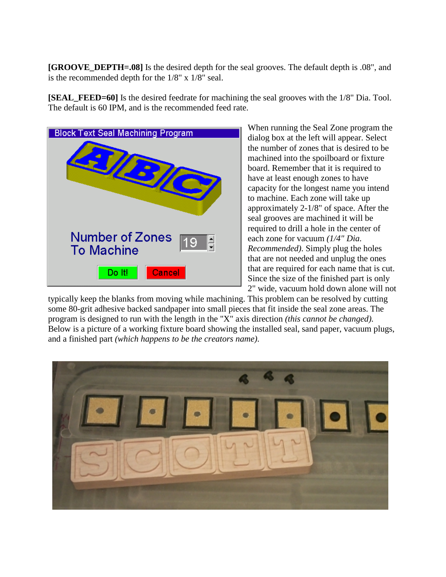**[GROOVE\_DEPTH=.08]** Is the desired depth for the seal grooves. The default depth is .08", and is the recommended depth for the 1/8" x 1/8" seal.

**[SEAL\_FEED=60]** Is the desired feedrate for machining the seal grooves with the 1/8" Dia. Tool. The default is 60 IPM, and is the recommended feed rate.



When running the Seal Zone program the dialog box at the left will appear. Select the number of zones that is desired to be machined into the spoilboard or fixture board. Remember that it is required to have at least enough zones to have capacity for the longest name you intend to machine. Each zone will take up approximately 2-1/8" of space. After the seal grooves are machined it will be required to drill a hole in the center of each zone for vacuum *(1/4" Dia. Recommended)*. Simply plug the holes that are not needed and unplug the ones that are required for each name that is cut. Since the size of the finished part is only 2" wide, vacuum hold down alone will not

typically keep the blanks from moving while machining. This problem can be resolved by cutting some 80-grit adhesive backed sandpaper into small pieces that fit inside the seal zone areas. The program is designed to run with the length in the "X" axis direction *(this cannot be changed)*. Below is a picture of a working fixture board showing the installed seal, sand paper, vacuum plugs, and a finished part *(which happens to be the creators name)*.

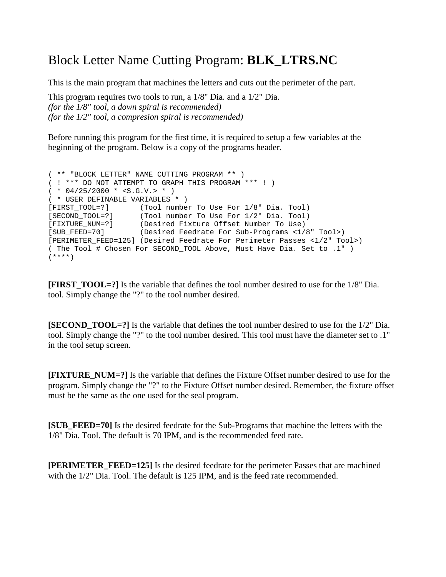## Block Letter Name Cutting Program: **BLK\_LTRS.NC**

This is the main program that machines the letters and cuts out the perimeter of the part.

This program requires two tools to run, a 1/8" Dia. and a 1/2" Dia. *(for the 1/8" tool, a down spiral is recommended) (for the 1/2" tool, a compresion spiral is recommended)* 

Before running this program for the first time, it is required to setup a few variables at the beginning of the program. Below is a copy of the programs header.

```
( ** "BLOCK LETTER" NAME CUTTING PROGRAM ** )
( ! *** DO NOT ATTEMPT TO GRAPH THIS PROGRAM *** ! )
(* 04/25/2000 * < S.G.V. > *)( * USER DEFINABLE VARIABLES * )
[FIRST_TOOL=?] (Tool number To Use For 1/8" Dia. Tool)
[SECOND_TOOL=?] (Tool number To Use For 1/2" Dia. Tool)
[FIXTURE_NUM=?] (Desired Fixture Offset Number To Use)
[SUB_FEED=70] (Desired Feedrate For Sub-Programs <1/8" Tool>)
[PERIMETER_FEED=125] (Desired Feedrate For Perimeter Passes <1/2" Tool>)
( The Tool # Chosen For SECOND_TOOL Above, Must Have Dia. Set to .1" )
(****)
```
**[FIRST\_TOOL=?]** Is the variable that defines the tool number desired to use for the 1/8" Dia. tool. Simply change the "?" to the tool number desired.

**[SECOND TOOL=?]** Is the variable that defines the tool number desired to use for the 1/2" Dia. tool. Simply change the "?" to the tool number desired. This tool must have the diameter set to .1" in the tool setup screen.

**[FIXTURE\_NUM=?]** Is the variable that defines the Fixture Offset number desired to use for the program. Simply change the "?" to the Fixture Offset number desired. Remember, the fixture offset must be the same as the one used for the seal program.

**[SUB\_FEED=70]** Is the desired feedrate for the Sub-Programs that machine the letters with the 1/8" Dia. Tool. The default is 70 IPM, and is the recommended feed rate.

**[PERIMETER\_FEED=125]** Is the desired feedrate for the perimeter Passes that are machined with the 1/2" Dia. Tool. The default is 125 IPM, and is the feed rate recommended.